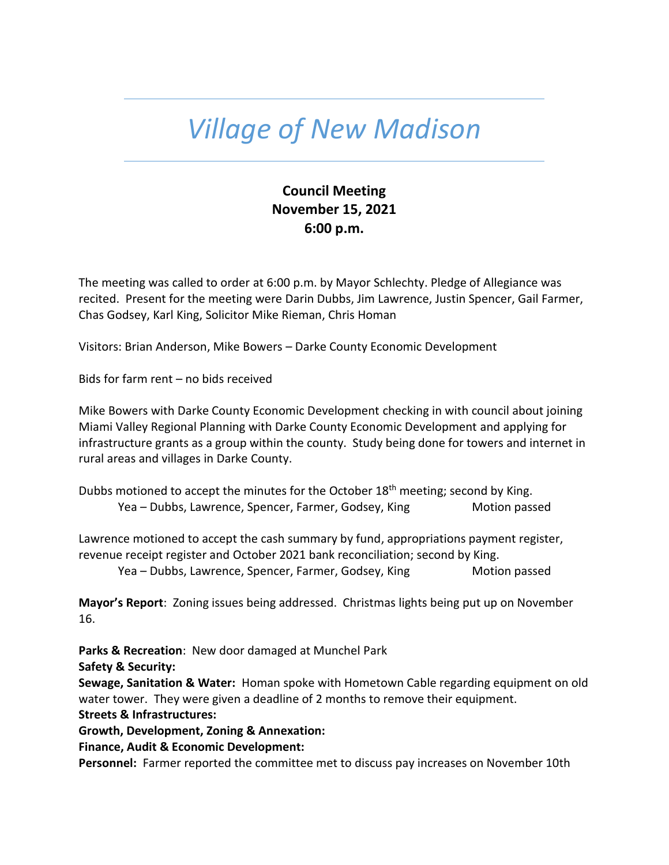## *Village of New Madison*

## **Council Meeting November 15, 2021 6:00 p.m.**

The meeting was called to order at 6:00 p.m. by Mayor Schlechty. Pledge of Allegiance was recited. Present for the meeting were Darin Dubbs, Jim Lawrence, Justin Spencer, Gail Farmer, Chas Godsey, Karl King, Solicitor Mike Rieman, Chris Homan

Visitors: Brian Anderson, Mike Bowers – Darke County Economic Development

Bids for farm rent – no bids received

Mike Bowers with Darke County Economic Development checking in with council about joining Miami Valley Regional Planning with Darke County Economic Development and applying for infrastructure grants as a group within the county. Study being done for towers and internet in rural areas and villages in Darke County.

Dubbs motioned to accept the minutes for the October 18<sup>th</sup> meeting; second by King. Yea – Dubbs, Lawrence, Spencer, Farmer, Godsey, King Motion passed

Lawrence motioned to accept the cash summary by fund, appropriations payment register, revenue receipt register and October 2021 bank reconciliation; second by King.

Yea – Dubbs, Lawrence, Spencer, Farmer, Godsey, King Motion passed

**Mayor's Report**: Zoning issues being addressed. Christmas lights being put up on November 16.

**Parks & Recreation**: New door damaged at Munchel Park

**Safety & Security:**

**Sewage, Sanitation & Water:** Homan spoke with Hometown Cable regarding equipment on old water tower. They were given a deadline of 2 months to remove their equipment. **Streets & Infrastructures:** 

**Growth, Development, Zoning & Annexation:** 

**Finance, Audit & Economic Development:**

**Personnel:** Farmer reported the committee met to discuss pay increases on November 10th